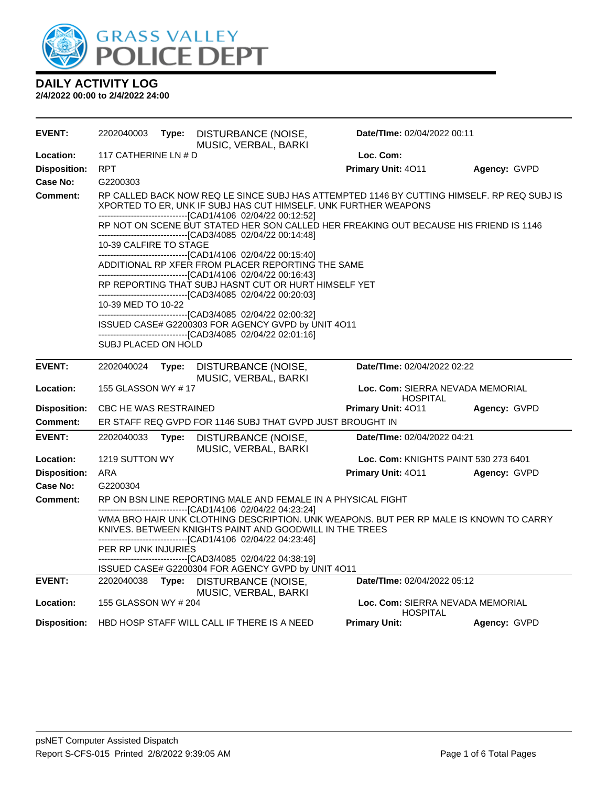

| <b>EVENT:</b>       | 2202040003                                                                                                                                                                                                       | Type: | DISTURBANCE (NOISE,<br>MUSIC, VERBAL, BARKI                                                                                                                                                                                   | Date/TIme: 02/04/2022 00:11                         |                                                                                       |  |
|---------------------|------------------------------------------------------------------------------------------------------------------------------------------------------------------------------------------------------------------|-------|-------------------------------------------------------------------------------------------------------------------------------------------------------------------------------------------------------------------------------|-----------------------------------------------------|---------------------------------------------------------------------------------------|--|
| Location:           | 117 CATHERINE LN # D                                                                                                                                                                                             |       |                                                                                                                                                                                                                               | Loc. Com:                                           |                                                                                       |  |
| <b>Disposition:</b> | <b>RPT</b>                                                                                                                                                                                                       |       |                                                                                                                                                                                                                               | Primary Unit: 4011                                  | Agency: GVPD                                                                          |  |
| <b>Case No:</b>     | G2200303                                                                                                                                                                                                         |       |                                                                                                                                                                                                                               |                                                     |                                                                                       |  |
| <b>Comment:</b>     |                                                                                                                                                                                                                  |       | RP CALLED BACK NOW REQ LE SINCE SUBJ HAS ATTEMPTED 1146 BY CUTTING HIMSELF. RP REQ SUBJ IS<br>XPORTED TO ER, UNK IF SUBJ HAS CUT HIMSELF. UNK FURTHER WEAPONS<br>-------------------------------[CAD1/4106_02/04/22_00:12:52] |                                                     |                                                                                       |  |
|                     |                                                                                                                                                                                                                  |       | ---------------------------------[CAD3/4085_02/04/22_00:14:48]                                                                                                                                                                |                                                     | RP NOT ON SCENE BUT STATED HER SON CALLED HER FREAKING OUT BECAUSE HIS FRIEND IS 1146 |  |
|                     | 10-39 CALFIRE TO STAGE                                                                                                                                                                                           |       |                                                                                                                                                                                                                               |                                                     |                                                                                       |  |
|                     |                                                                                                                                                                                                                  |       | ------------------------------[CAD1/4106 02/04/22 00:15:40]<br>ADDITIONAL RP XFER FROM PLACER REPORTING THE SAME<br>-------------------------------[CAD1/4106_02/04/22 00:16:43]                                              |                                                     |                                                                                       |  |
|                     |                                                                                                                                                                                                                  |       | RP REPORTING THAT SUBJ HASNT CUT OR HURT HIMSELF YET<br>--------------------------------[CAD3/4085_02/04/22_00:20:03]                                                                                                         |                                                     |                                                                                       |  |
|                     | 10-39 MED TO 10-22                                                                                                                                                                                               |       |                                                                                                                                                                                                                               |                                                     |                                                                                       |  |
|                     |                                                                                                                                                                                                                  |       | ------------------------------[CAD3/4085 02/04/22 02:00:32]<br>ISSUED CASE# G2200303 FOR AGENCY GVPD by UNIT 4O11                                                                                                             |                                                     |                                                                                       |  |
|                     |                                                                                                                                                                                                                  |       | --------------------------------[CAD3/4085_02/04/22_02:01:16]                                                                                                                                                                 |                                                     |                                                                                       |  |
|                     | SUBJ PLACED ON HOLD                                                                                                                                                                                              |       |                                                                                                                                                                                                                               |                                                     |                                                                                       |  |
| <b>EVENT:</b>       | 2202040024                                                                                                                                                                                                       | Type: | DISTURBANCE (NOISE,<br>MUSIC, VERBAL, BARKI                                                                                                                                                                                   | Date/TIme: 02/04/2022 02:22                         |                                                                                       |  |
| Location:           | 155 GLASSON WY #17                                                                                                                                                                                               |       |                                                                                                                                                                                                                               | Loc. Com: SIERRA NEVADA MEMORIAL<br><b>HOSPITAL</b> |                                                                                       |  |
| <b>Disposition:</b> | CBC HE WAS RESTRAINED                                                                                                                                                                                            |       |                                                                                                                                                                                                                               | Primary Unit: 4011                                  | Agency: GVPD                                                                          |  |
| <b>Comment:</b>     |                                                                                                                                                                                                                  |       | ER STAFF REQ GVPD FOR 1146 SUBJ THAT GVPD JUST BROUGHT IN                                                                                                                                                                     |                                                     |                                                                                       |  |
| <b>EVENT:</b>       | 2202040033                                                                                                                                                                                                       | Type: | DISTURBANCE (NOISE,<br>MUSIC, VERBAL, BARKI                                                                                                                                                                                   | Date/TIme: 02/04/2022 04:21                         |                                                                                       |  |
| Location:           | 1219 SUTTON WY                                                                                                                                                                                                   |       |                                                                                                                                                                                                                               | <b>Loc. Com: KNIGHTS PAINT 530 273 6401</b>         |                                                                                       |  |
| <b>Disposition:</b> | ARA                                                                                                                                                                                                              |       |                                                                                                                                                                                                                               | Primary Unit: 4011                                  | Agency: GVPD                                                                          |  |
| Case No:            | G2200304                                                                                                                                                                                                         |       |                                                                                                                                                                                                                               |                                                     |                                                                                       |  |
| <b>Comment:</b>     | RP ON BSN LINE REPORTING MALE AND FEMALE IN A PHYSICAL FIGHT<br>------------------------------[CAD1/4106 02/04/22 04:23:24]                                                                                      |       |                                                                                                                                                                                                                               |                                                     |                                                                                       |  |
|                     | WMA BRO HAIR UNK CLOTHING DESCRIPTION. UNK WEAPONS. BUT PER RP MALE IS KNOWN TO CARRY<br>KNIVES. BETWEEN KNIGHTS PAINT AND GOODWILL IN THE TREES<br>------------------------------[CAD1/4106  02/04/22 04:23:46] |       |                                                                                                                                                                                                                               |                                                     |                                                                                       |  |
|                     | PER RP UNK INJURIES                                                                                                                                                                                              |       |                                                                                                                                                                                                                               |                                                     |                                                                                       |  |
|                     |                                                                                                                                                                                                                  |       | -------------------------------[CAD3/4085  02/04/22 04:38:19]<br>ISSUED CASE# G2200304 FOR AGENCY GVPD by UNIT 4O11                                                                                                           |                                                     |                                                                                       |  |
| <b>EVENT:</b>       | 2202040038 <b>Type:</b>                                                                                                                                                                                          |       | DISTURBANCE (NOISE,                                                                                                                                                                                                           | Date/TIme: 02/04/2022 05:12                         |                                                                                       |  |
| Location:           | 155 GLASSON WY # 204                                                                                                                                                                                             |       | MUSIC, VERBAL, BARKI                                                                                                                                                                                                          | Loc. Com: SIERRA NEVADA MEMORIAL                    |                                                                                       |  |
|                     |                                                                                                                                                                                                                  |       |                                                                                                                                                                                                                               | <b>HOSPITAL</b>                                     |                                                                                       |  |
| Disposition:        |                                                                                                                                                                                                                  |       | HBD HOSP STAFF WILL CALL IF THERE IS A NEED                                                                                                                                                                                   | <b>Primary Unit:</b>                                | Agency: GVPD                                                                          |  |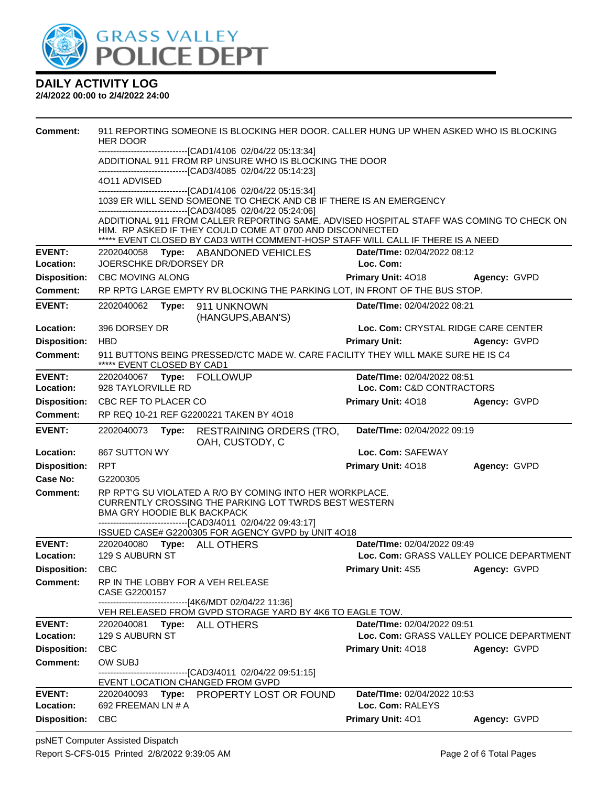

| <b>Comment:</b>     | 911 REPORTING SOMEONE IS BLOCKING HER DOOR. CALLER HUNG UP WHEN ASKED WHO IS BLOCKING<br><b>HER DOOR</b>  |       |                                                                                                                                                          |                                          |                                          |  |  |
|---------------------|-----------------------------------------------------------------------------------------------------------|-------|----------------------------------------------------------------------------------------------------------------------------------------------------------|------------------------------------------|------------------------------------------|--|--|
|                     | ------------------[CAD1/4106 02/04/22 05:13:34]<br>ADDITIONAL 911 FROM RP UNSURE WHO IS BLOCKING THE DOOR |       |                                                                                                                                                          |                                          |                                          |  |  |
|                     | -------------------------------[CAD3/4085_02/04/22 05:14:23]                                              |       |                                                                                                                                                          |                                          |                                          |  |  |
|                     | 4011 ADVISED<br>-------------------------------[CAD1/4106 02/04/22 05:15:34]                              |       |                                                                                                                                                          |                                          |                                          |  |  |
|                     |                                                                                                           |       | 1039 ER WILL SEND SOMEONE TO CHECK AND CB IF THERE IS AN EMERGENCY                                                                                       |                                          |                                          |  |  |
|                     |                                                                                                           |       | -------------------------------[CAD3/4085_02/04/22_05:24:06]<br>ADDITIONAL 911 FROM CALLER REPORTING SAME, ADVISED HOSPITAL STAFF WAS COMING TO CHECK ON |                                          |                                          |  |  |
|                     |                                                                                                           |       | HIM. RP ASKED IF THEY COULD COME AT 0700 AND DISCONNECTED                                                                                                |                                          |                                          |  |  |
| <b>EVENT:</b>       | ***** EVENT CLOSED BY CAD3 WITH COMMENT-HOSP STAFF WILL CALL IF THERE IS A NEED                           |       |                                                                                                                                                          |                                          |                                          |  |  |
| Location:           | 2202040058<br>JOERSCHKE DR/DORSEY DR                                                                      |       | Type: ABANDONED VEHICLES                                                                                                                                 | Date/TIme: 02/04/2022 08:12<br>Loc. Com: |                                          |  |  |
| <b>Disposition:</b> | <b>CBC MOVING ALONG</b>                                                                                   |       |                                                                                                                                                          | Primary Unit: 4018                       | Agency: GVPD                             |  |  |
| <b>Comment:</b>     |                                                                                                           |       | RP RPTG LARGE EMPTY RV BLOCKING THE PARKING LOT, IN FRONT OF THE BUS STOP.                                                                               |                                          |                                          |  |  |
| <b>EVENT:</b>       | 2202040062                                                                                                | Type: | 911 UNKNOWN                                                                                                                                              | Date/TIme: 02/04/2022 08:21              |                                          |  |  |
|                     |                                                                                                           |       | (HANGUPS, ABAN'S)                                                                                                                                        |                                          |                                          |  |  |
| Location:           | 396 DORSEY DR                                                                                             |       |                                                                                                                                                          |                                          | Loc. Com: CRYSTAL RIDGE CARE CENTER      |  |  |
| <b>Disposition:</b> | <b>HBD</b>                                                                                                |       |                                                                                                                                                          | <b>Primary Unit:</b>                     | Agency: GVPD                             |  |  |
| <b>Comment:</b>     | ***** EVENT CLOSED BY CAD1                                                                                |       | 911 BUTTONS BEING PRESSED/CTC MADE W. CARE FACILITY THEY WILL MAKE SURE HE IS C4                                                                         |                                          |                                          |  |  |
| <b>EVENT:</b>       |                                                                                                           |       |                                                                                                                                                          | Date/TIme: 02/04/2022 08:51              |                                          |  |  |
| Location:           | 928 TAYLORVILLE RD                                                                                        |       |                                                                                                                                                          | Loc. Com: C&D CONTRACTORS                |                                          |  |  |
| <b>Disposition:</b> | CBC REF TO PLACER CO                                                                                      |       |                                                                                                                                                          | Primary Unit: 4018                       | Agency: GVPD                             |  |  |
| <b>Comment:</b>     |                                                                                                           |       | RP REQ 10-21 REF G2200221 TAKEN BY 4O18                                                                                                                  |                                          |                                          |  |  |
|                     |                                                                                                           |       |                                                                                                                                                          |                                          |                                          |  |  |
| <b>EVENT:</b>       | 2202040073                                                                                                | Type: | <b>RESTRAINING ORDERS (TRO,</b><br>OAH, CUSTODY, C                                                                                                       | Date/TIme: 02/04/2022 09:19              |                                          |  |  |
| Location:           | 867 SUTTON WY                                                                                             |       |                                                                                                                                                          | Loc. Com: SAFEWAY                        |                                          |  |  |
| <b>Disposition:</b> | <b>RPT</b>                                                                                                |       |                                                                                                                                                          | Primary Unit: 4018                       | Agency: GVPD                             |  |  |
| Case No:            | G2200305                                                                                                  |       |                                                                                                                                                          |                                          |                                          |  |  |
| <b>Comment:</b>     |                                                                                                           |       | RP RPT'G SU VIOLATED A R/O BY COMING INTO HER WORKPLACE.<br><b>CURRENTLY CROSSING THE PARKING LOT TWRDS BEST WESTERN</b><br>BMA GRY HOODIE BLK BACKPACK  |                                          |                                          |  |  |
|                     |                                                                                                           |       | -------------------------------[CAD3/4011_02/04/22_09:43:17]                                                                                             |                                          |                                          |  |  |
| <b>EVENT:</b>       |                                                                                                           |       | ISSUED CASE# G2200305 FOR AGENCY GVPD by UNIT 4O18<br>2202040080 Type: ALL OTHERS                                                                        | Date/TIme: 02/04/2022 09:49              |                                          |  |  |
| Location:           | 129 S AUBURN ST                                                                                           |       |                                                                                                                                                          |                                          | Loc. Com: GRASS VALLEY POLICE DEPARTMENT |  |  |
| Disposition: CBC    |                                                                                                           |       |                                                                                                                                                          | Primary Unit: 4S5 Agency: GVPD           |                                          |  |  |
| Comment:            | CASE G2200157                                                                                             |       | RP IN THE LOBBY FOR A VEH RELEASE                                                                                                                        |                                          |                                          |  |  |
|                     |                                                                                                           |       | -------------------------------[4K6/MDT 02/04/22 11:36]                                                                                                  |                                          |                                          |  |  |
| <b>EVENT:</b>       | 2202040081                                                                                                |       | VEH RELEASED FROM GVPD STORAGE YARD BY 4K6 TO EAGLE TOW.                                                                                                 | Date/TIme: 02/04/2022 09:51              |                                          |  |  |
| Location:           | 129 S AUBURN ST                                                                                           |       | <b>Type: ALL OTHERS</b>                                                                                                                                  |                                          | Loc. Com: GRASS VALLEY POLICE DEPARTMENT |  |  |
| <b>Disposition:</b> | <b>CBC</b>                                                                                                |       |                                                                                                                                                          | <b>Primary Unit: 4018</b>                | Agency: GVPD                             |  |  |
| <b>Comment:</b>     | OW SUBJ                                                                                                   |       |                                                                                                                                                          |                                          |                                          |  |  |
|                     |                                                                                                           |       | ----------------[CAD3/4011_02/04/22_09:51:15]                                                                                                            |                                          |                                          |  |  |
| <b>EVENT:</b>       |                                                                                                           |       | EVENT LOCATION CHANGED FROM GVPD<br>2202040093 Type: PROPERTY LOST OR FOUND                                                                              | Date/TIme: 02/04/2022 10:53              |                                          |  |  |
| Location:           | 692 FREEMAN LN # A                                                                                        |       |                                                                                                                                                          | Loc. Com: RALEYS                         |                                          |  |  |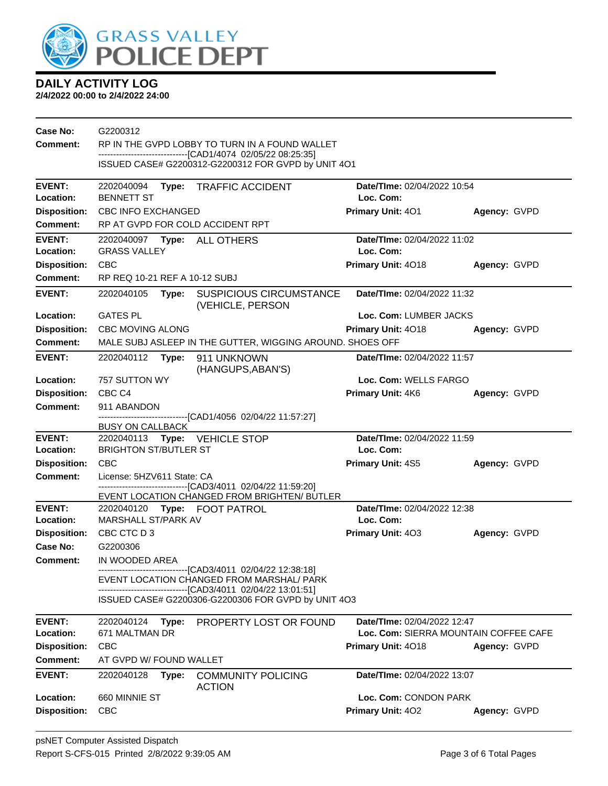

| Case No:            | G2200312                                                                                                                                                              |                                                              |                             |              |  |  |
|---------------------|-----------------------------------------------------------------------------------------------------------------------------------------------------------------------|--------------------------------------------------------------|-----------------------------|--------------|--|--|
| Comment:            | RP IN THE GVPD LOBBY TO TURN IN A FOUND WALLET<br>-------------------------------[CAD1/4074 02/05/22 08:25:35]<br>ISSUED CASE# G2200312-G2200312 FOR GVPD by UNIT 4O1 |                                                              |                             |              |  |  |
|                     |                                                                                                                                                                       |                                                              |                             |              |  |  |
| <b>EVENT:</b>       |                                                                                                                                                                       | 2202040094 Type: TRAFFIC ACCIDENT                            | Date/TIme: 02/04/2022 10:54 |              |  |  |
| Location:           | <b>BENNETT ST</b>                                                                                                                                                     |                                                              | Loc. Com:                   |              |  |  |
| <b>Disposition:</b> | <b>CBC INFO EXCHANGED</b>                                                                                                                                             |                                                              | Primary Unit: 401           | Agency: GVPD |  |  |
| <b>Comment:</b>     |                                                                                                                                                                       | RP AT GVPD FOR COLD ACCIDENT RPT                             |                             |              |  |  |
| <b>EVENT:</b>       |                                                                                                                                                                       |                                                              | Date/TIme: 02/04/2022 11:02 |              |  |  |
| Location:           | <b>GRASS VALLEY</b>                                                                                                                                                   |                                                              | Loc. Com:                   |              |  |  |
| <b>Disposition:</b> | <b>CBC</b>                                                                                                                                                            |                                                              | Primary Unit: 4018          | Agency: GVPD |  |  |
| <b>Comment:</b>     | RP REQ 10-21 REF A 10-12 SUBJ                                                                                                                                         |                                                              |                             |              |  |  |
| <b>EVENT:</b>       | 2202040105<br>Type:                                                                                                                                                   | <b>SUSPICIOUS CIRCUMSTANCE</b><br>(VEHICLE, PERSON           | Date/TIme: 02/04/2022 11:32 |              |  |  |
| Location:           | <b>GATES PL</b>                                                                                                                                                       |                                                              | Loc. Com: LUMBER JACKS      |              |  |  |
| <b>Disposition:</b> | <b>CBC MOVING ALONG</b>                                                                                                                                               |                                                              | <b>Primary Unit: 4018</b>   | Agency: GVPD |  |  |
| <b>Comment:</b>     |                                                                                                                                                                       | MALE SUBJ ASLEEP IN THE GUTTER, WIGGING AROUND. SHOES OFF    |                             |              |  |  |
| <b>EVENT:</b>       | Date/TIme: 02/04/2022 11:57<br>2202040112 Type:<br>911 UNKNOWN<br>(HANGUPS, ABAN'S)                                                                                   |                                                              |                             |              |  |  |
| Location:           | 757 SUTTON WY                                                                                                                                                         |                                                              | Loc. Com: WELLS FARGO       |              |  |  |
| <b>Disposition:</b> | CBC <sub>C4</sub>                                                                                                                                                     |                                                              | Primary Unit: 4K6           | Agency: GVPD |  |  |
| Comment:            | 911 ABANDON                                                                                                                                                           |                                                              |                             |              |  |  |
|                     | <b>BUSY ON CALLBACK</b>                                                                                                                                               | -------------------------------[CAD1/4056 02/04/22 11:57:27] |                             |              |  |  |
| <b>EVENT:</b>       | 2202040113 Type: VEHICLE STOP<br>Date/TIme: 02/04/2022 11:59                                                                                                          |                                                              |                             |              |  |  |
| Location:           | <b>BRIGHTON ST/BUTLER ST</b>                                                                                                                                          |                                                              | Loc. Com:                   |              |  |  |
| <b>Disposition:</b> | <b>CBC</b>                                                                                                                                                            |                                                              | <b>Primary Unit: 4S5</b>    | Agency: GVPD |  |  |
| <b>Comment:</b>     | License: 5HZV611 State: CA                                                                                                                                            |                                                              |                             |              |  |  |
|                     | ------------------------[CAD3/4011_02/04/22 11:59:20]<br>EVENT LOCATION CHANGED FROM BRIGHTEN/ BUTLER                                                                 |                                                              |                             |              |  |  |
| <b>EVENT:</b>       |                                                                                                                                                                       | 2202040120 Type: FOOT PATROL                                 | Date/TIme: 02/04/2022 12:38 |              |  |  |
| Location:           | MARSHALL ST/PARK AV                                                                                                                                                   |                                                              | Loc. Com:                   |              |  |  |
| <b>Disposition:</b> | CBC CTC D 3                                                                                                                                                           |                                                              | <b>Primary Unit: 403</b>    | Agency: GVPD |  |  |
| Case No:            | G2200306                                                                                                                                                              |                                                              |                             |              |  |  |
| <b>Comment:</b>     | IN WOODED AREA                                                                                                                                                        |                                                              |                             |              |  |  |
|                     | ------------------------------[CAD3/4011_02/04/22 12:38:18]<br>EVENT LOCATION CHANGED FROM MARSHAL/ PARK                                                              |                                                              |                             |              |  |  |
|                     | ---------------------------------[CAD3/4011_02/04/22_13:01:51]<br>ISSUED CASE# G2200306-G2200306 FOR GVPD by UNIT 4O3                                                 |                                                              |                             |              |  |  |
|                     |                                                                                                                                                                       |                                                              |                             |              |  |  |
| <b>EVENT:</b>       | 2202040124<br>Type:                                                                                                                                                   | PROPERTY LOST OR FOUND                                       | Date/TIme: 02/04/2022 12:47 |              |  |  |
| Location:           | Loc. Com: SIERRA MOUNTAIN COFFEE CAFE<br>671 MALTMAN DR                                                                                                               |                                                              |                             |              |  |  |
| <b>Disposition:</b> | <b>CBC</b>                                                                                                                                                            |                                                              | Primary Unit: 4018          | Agency: GVPD |  |  |
| <b>Comment:</b>     | AT GVPD W/ FOUND WALLET                                                                                                                                               |                                                              |                             |              |  |  |
| <b>EVENT:</b>       | 2202040128<br>Type:                                                                                                                                                   | <b>COMMUNITY POLICING</b><br><b>ACTION</b>                   | Date/TIme: 02/04/2022 13:07 |              |  |  |
| Location:           | 660 MINNIE ST<br>Loc. Com: CONDON PARK                                                                                                                                |                                                              |                             |              |  |  |
| <b>Disposition:</b> | <b>CBC</b>                                                                                                                                                            |                                                              | Primary Unit: 402           | Agency: GVPD |  |  |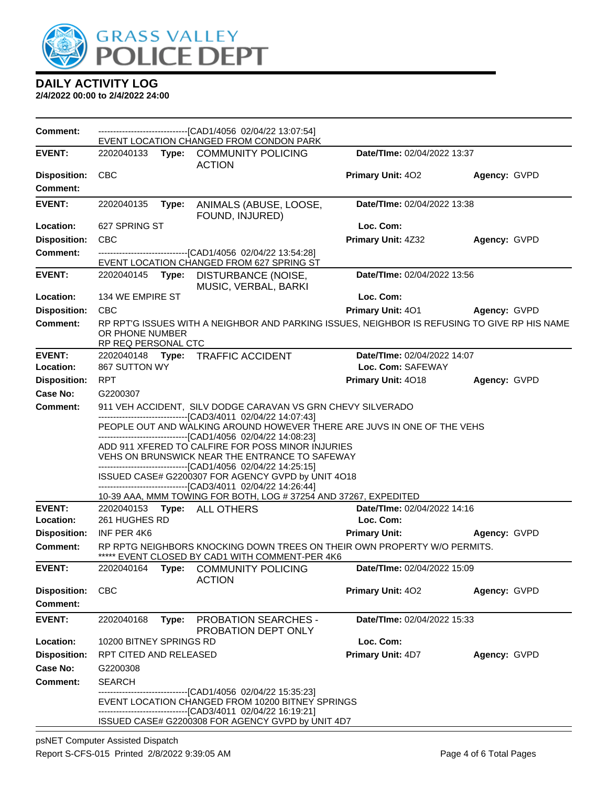

| <b>Comment:</b>                        |                                                                                                                                                                                                                                                              |                                                             | -------------------------------[CAD1/4056 02/04/22 13:07:54]<br>EVENT LOCATION CHANGED FROM CONDON PARK                                                              |                                          |              |  |  |
|----------------------------------------|--------------------------------------------------------------------------------------------------------------------------------------------------------------------------------------------------------------------------------------------------------------|-------------------------------------------------------------|----------------------------------------------------------------------------------------------------------------------------------------------------------------------|------------------------------------------|--------------|--|--|
| <b>EVENT:</b>                          |                                                                                                                                                                                                                                                              |                                                             | 2202040133 Type: COMMUNITY POLICING<br><b>ACTION</b>                                                                                                                 | Date/TIme: 02/04/2022 13:37              |              |  |  |
| <b>Disposition:</b><br><b>Comment:</b> | <b>CBC</b>                                                                                                                                                                                                                                                   |                                                             |                                                                                                                                                                      | <b>Primary Unit: 402</b>                 | Agency: GVPD |  |  |
| <b>EVENT:</b>                          | 2202040135                                                                                                                                                                                                                                                   | Type:                                                       | ANIMALS (ABUSE, LOOSE,<br>FOUND, INJURED)                                                                                                                            | Date/TIme: 02/04/2022 13:38              |              |  |  |
| Location:                              | 627 SPRING ST                                                                                                                                                                                                                                                |                                                             |                                                                                                                                                                      | Loc. Com:                                |              |  |  |
| <b>Disposition:</b>                    | <b>CBC</b>                                                                                                                                                                                                                                                   |                                                             |                                                                                                                                                                      | Primary Unit: 4Z32                       | Agency: GVPD |  |  |
| Comment:                               |                                                                                                                                                                                                                                                              |                                                             | -------------------------------[CAD1/4056 02/04/22 13:54:28]                                                                                                         |                                          |              |  |  |
|                                        |                                                                                                                                                                                                                                                              |                                                             | EVENT LOCATION CHANGED FROM 627 SPRING ST                                                                                                                            |                                          |              |  |  |
| <b>EVENT:</b>                          |                                                                                                                                                                                                                                                              |                                                             | 2202040145 Type: DISTURBANCE (NOISE,<br>MUSIC, VERBAL, BARKI                                                                                                         | Date/TIme: 02/04/2022 13:56              |              |  |  |
| Location:                              | 134 WE EMPIRE ST                                                                                                                                                                                                                                             |                                                             |                                                                                                                                                                      | Loc. Com:                                |              |  |  |
| <b>Disposition:</b>                    | <b>CBC</b>                                                                                                                                                                                                                                                   |                                                             |                                                                                                                                                                      | <b>Primary Unit: 401</b>                 | Agency: GVPD |  |  |
| <b>Comment:</b>                        | RP RPT'G ISSUES WITH A NEIGHBOR AND PARKING ISSUES, NEIGHBOR IS REFUSING TO GIVE RP HIS NAME<br>OR PHONE NUMBER<br>RP REQ PERSONAL CTC                                                                                                                       |                                                             |                                                                                                                                                                      |                                          |              |  |  |
| <b>EVENT:</b>                          |                                                                                                                                                                                                                                                              |                                                             | 2202040148 Type: TRAFFIC ACCIDENT                                                                                                                                    | Date/TIme: 02/04/2022 14:07              |              |  |  |
| Location:                              | 867 SUTTON WY                                                                                                                                                                                                                                                |                                                             |                                                                                                                                                                      | Loc. Com: SAFEWAY                        |              |  |  |
| <b>Disposition:</b>                    | <b>RPT</b>                                                                                                                                                                                                                                                   |                                                             |                                                                                                                                                                      | Primary Unit: 4018                       | Agency: GVPD |  |  |
| Case No:                               | G2200307                                                                                                                                                                                                                                                     |                                                             |                                                                                                                                                                      |                                          |              |  |  |
| <b>Comment:</b>                        |                                                                                                                                                                                                                                                              | 911 VEH ACCIDENT, SILV DODGE CARAVAN VS GRN CHEVY SILVERADO |                                                                                                                                                                      |                                          |              |  |  |
|                                        | -------------------------------[CAD3/4011 02/04/22 14:07:43]<br>PEOPLE OUT AND WALKING AROUND HOWEVER THERE ARE JUVS IN ONE OF THE VEHS<br>-------------------------------[CAD1/4056_02/04/22 14:08:23]<br>ADD 911 XFERED TO CALFIRE FOR POSS MINOR INJURIES |                                                             |                                                                                                                                                                      |                                          |              |  |  |
|                                        |                                                                                                                                                                                                                                                              |                                                             | VEHS ON BRUNSWICK NEAR THE ENTRANCE TO SAFEWAY<br>-------------------------------[CAD1/4056_02/04/22 14:25:15]<br>ISSUED CASE# G2200307 FOR AGENCY GVPD by UNIT 4O18 |                                          |              |  |  |
|                                        |                                                                                                                                                                                                                                                              |                                                             | ------------------------------[CAD3/4011_02/04/22 14:26:44]                                                                                                          |                                          |              |  |  |
|                                        |                                                                                                                                                                                                                                                              |                                                             | 10-39 AAA, MMM TOWING FOR BOTH, LOG #37254 AND 37267, EXPEDITED                                                                                                      |                                          |              |  |  |
| <b>EVENT:</b><br>Location:             | 261 HUGHES RD                                                                                                                                                                                                                                                |                                                             | 2202040153 Type: ALL OTHERS                                                                                                                                          | Date/TIme: 02/04/2022 14:16<br>Loc. Com: |              |  |  |
| <b>Disposition:</b>                    | INF PER 4K6                                                                                                                                                                                                                                                  |                                                             |                                                                                                                                                                      | <b>Primary Unit:</b>                     | Agency: GVPD |  |  |
| Comment:                               |                                                                                                                                                                                                                                                              |                                                             | RP RPTG NEIGHBORS KNOCKING DOWN TREES ON THEIR OWN PROPERTY W/O PERMITS.                                                                                             |                                          |              |  |  |
|                                        |                                                                                                                                                                                                                                                              |                                                             | ***** EVENT CLOSED BY CAD1 WITH COMMENT-PER 4K6                                                                                                                      |                                          |              |  |  |
| <b>EVENT:</b>                          |                                                                                                                                                                                                                                                              |                                                             | 2202040164 Type: COMMUNITY POLICING<br><b>ACTION</b>                                                                                                                 | Date/TIme: 02/04/2022 15:09              |              |  |  |
| <b>Disposition:</b>                    | <b>CBC</b>                                                                                                                                                                                                                                                   |                                                             |                                                                                                                                                                      | Primary Unit: 402                        | Agency: GVPD |  |  |
| <b>Comment:</b>                        |                                                                                                                                                                                                                                                              |                                                             |                                                                                                                                                                      |                                          |              |  |  |
| <b>EVENT:</b>                          | 2202040168                                                                                                                                                                                                                                                   | Type:                                                       | <b>PROBATION SEARCHES -</b><br>PROBATION DEPT ONLY                                                                                                                   | Date/TIme: 02/04/2022 15:33              |              |  |  |
| Location:                              | 10200 BITNEY SPRINGS RD                                                                                                                                                                                                                                      |                                                             |                                                                                                                                                                      | Loc. Com:                                |              |  |  |
| <b>Disposition:</b>                    | RPT CITED AND RELEASED                                                                                                                                                                                                                                       |                                                             |                                                                                                                                                                      | <b>Primary Unit: 4D7</b>                 | Agency: GVPD |  |  |
| <b>Case No:</b>                        | G2200308                                                                                                                                                                                                                                                     |                                                             |                                                                                                                                                                      |                                          |              |  |  |
| Comment:                               | <b>SEARCH</b>                                                                                                                                                                                                                                                |                                                             |                                                                                                                                                                      |                                          |              |  |  |
|                                        | ---------------------[CAD1/4056_02/04/22 15:35:23]<br>EVENT LOCATION CHANGED FROM 10200 BITNEY SPRINGS<br>-------------------------------[CAD3/4011_02/04/22 16:19:21]                                                                                       |                                                             |                                                                                                                                                                      |                                          |              |  |  |
|                                        |                                                                                                                                                                                                                                                              |                                                             | ISSUED CASE# G2200308 FOR AGENCY GVPD by UNIT 4D7                                                                                                                    |                                          |              |  |  |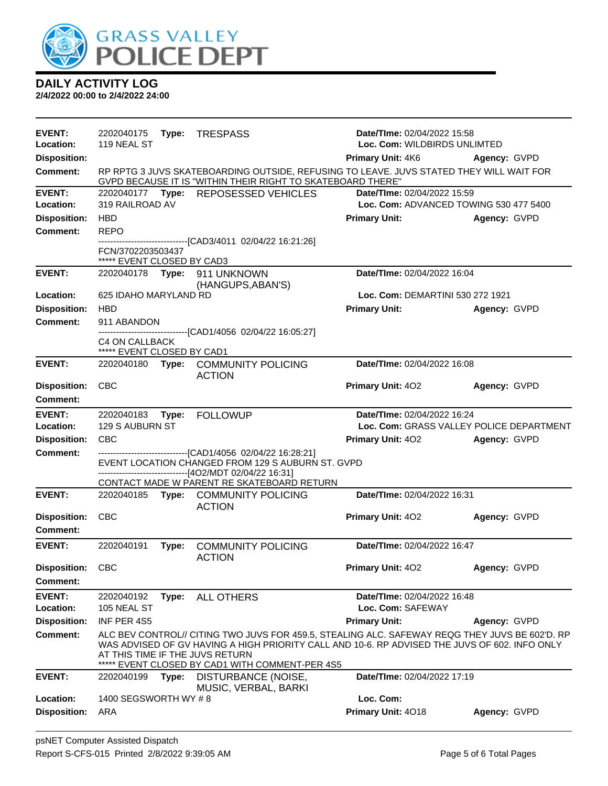

| <b>EVENT:</b><br>Location:<br><b>Disposition:</b> | 2202040175<br>119 NEAL ST                                                                                                                                                                                                                                                       |       | Type: TRESPASS                                                                                                                                         | Date/TIme: 02/04/2022 15:58<br>Loc. Com: WILDBIRDS UNLIMTED<br><b>Primary Unit: 4K6</b><br>Agency: GVPD |              |
|---------------------------------------------------|---------------------------------------------------------------------------------------------------------------------------------------------------------------------------------------------------------------------------------------------------------------------------------|-------|--------------------------------------------------------------------------------------------------------------------------------------------------------|---------------------------------------------------------------------------------------------------------|--------------|
| <b>Comment:</b>                                   |                                                                                                                                                                                                                                                                                 |       | RP RPTG 3 JUVS SKATEBOARDING OUTSIDE, REFUSING TO LEAVE. JUVS STATED THEY WILL WAIT FOR<br>GVPD BECAUSE IT IS "WITHIN THEIR RIGHT TO SKATEBOARD THERE" |                                                                                                         |              |
| <b>EVENT:</b>                                     | Date/TIme: 02/04/2022 15:59<br>2202040177 Type: REPOSESSED VEHICLES                                                                                                                                                                                                             |       |                                                                                                                                                        |                                                                                                         |              |
| Location:                                         | 319 RAILROAD AV                                                                                                                                                                                                                                                                 |       |                                                                                                                                                        | Loc. Com: ADVANCED TOWING 530 477 5400                                                                  |              |
| <b>Disposition:</b>                               | <b>HBD</b>                                                                                                                                                                                                                                                                      |       |                                                                                                                                                        | <b>Primary Unit:</b>                                                                                    | Agency: GVPD |
| <b>Comment:</b>                                   | <b>REPO</b>                                                                                                                                                                                                                                                                     |       | -------------------------------[CAD3/4011_02/04/22 16:21:26]                                                                                           |                                                                                                         |              |
|                                                   | FCN/3702203503437<br>***** EVENT CLOSED BY CAD3                                                                                                                                                                                                                                 |       |                                                                                                                                                        |                                                                                                         |              |
| <b>EVENT:</b>                                     | 2202040178 Type:                                                                                                                                                                                                                                                                |       | 911 UNKNOWN                                                                                                                                            | Date/TIme: 02/04/2022 16:04                                                                             |              |
| Location:                                         | 625 IDAHO MARYLAND RD                                                                                                                                                                                                                                                           |       | (HANGUPS, ABAN'S)                                                                                                                                      | Loc. Com: DEMARTINI 530 272 1921                                                                        |              |
| <b>Disposition:</b>                               | <b>HBD</b>                                                                                                                                                                                                                                                                      |       |                                                                                                                                                        | <b>Primary Unit:</b>                                                                                    | Agency: GVPD |
| <b>Comment:</b>                                   | 911 ABANDON                                                                                                                                                                                                                                                                     |       |                                                                                                                                                        |                                                                                                         |              |
|                                                   | C4 ON CALLBACK<br>***** EVENT CLOSED BY CAD1                                                                                                                                                                                                                                    |       | ------------------------[CAD1/4056_02/04/22 16:05:27]                                                                                                  |                                                                                                         |              |
| <b>EVENT:</b>                                     | 2202040180                                                                                                                                                                                                                                                                      |       | Type: COMMUNITY POLICING<br><b>ACTION</b>                                                                                                              | Date/TIme: 02/04/2022 16:08                                                                             |              |
| <b>Disposition:</b><br>Comment:                   | <b>CBC</b>                                                                                                                                                                                                                                                                      |       |                                                                                                                                                        | Primary Unit: 402                                                                                       | Agency: GVPD |
| <b>EVENT:</b>                                     | 2202040183 Type:                                                                                                                                                                                                                                                                |       | <b>FOLLOWUP</b>                                                                                                                                        | Date/TIme: 02/04/2022 16:24                                                                             |              |
| Location:                                         | 129 S AUBURN ST                                                                                                                                                                                                                                                                 |       |                                                                                                                                                        | Loc. Com: GRASS VALLEY POLICE DEPARTMENT                                                                |              |
| <b>Disposition:</b>                               | <b>CBC</b>                                                                                                                                                                                                                                                                      |       |                                                                                                                                                        | <b>Primary Unit: 402</b>                                                                                | Agency: GVPD |
| <b>Comment:</b>                                   | ------------------------[CAD1/4056_02/04/22 16:28:21]<br>EVENT LOCATION CHANGED FROM 129 S AUBURN ST. GVPD<br>-------------------------------[4O2/MDT 02/04/22 16:31]                                                                                                           |       |                                                                                                                                                        |                                                                                                         |              |
|                                                   |                                                                                                                                                                                                                                                                                 |       | CONTACT MADE W PARENT RE SKATEBOARD RETURN                                                                                                             |                                                                                                         |              |
| <b>EVENT:</b>                                     |                                                                                                                                                                                                                                                                                 |       | 2202040185 Type: COMMUNITY POLICING<br><b>ACTION</b>                                                                                                   | Date/TIme: 02/04/2022 16:31                                                                             |              |
| <b>Disposition:</b>                               | <b>CBC</b>                                                                                                                                                                                                                                                                      |       |                                                                                                                                                        | <b>Primary Unit: 402</b>                                                                                | Agency: GVPD |
| Comment:                                          |                                                                                                                                                                                                                                                                                 |       |                                                                                                                                                        |                                                                                                         |              |
| <b>EVENT:</b>                                     | 2202040191                                                                                                                                                                                                                                                                      | Type: | <b>COMMUNITY POLICING</b><br><b>ACTION</b>                                                                                                             | Date/TIme: 02/04/2022 16:47                                                                             |              |
| Disposition: CBC                                  |                                                                                                                                                                                                                                                                                 |       |                                                                                                                                                        | <b>Primary Unit: 402</b>                                                                                | Agency: GVPD |
| Comment:                                          |                                                                                                                                                                                                                                                                                 |       |                                                                                                                                                        |                                                                                                         |              |
| <b>EVENT:</b><br>Location:                        | 2202040192<br>105 NEAL ST                                                                                                                                                                                                                                                       | Type: | <b>ALL OTHERS</b>                                                                                                                                      | Date/TIme: 02/04/2022 16:48<br>Loc. Com: SAFEWAY                                                        |              |
| <b>Disposition:</b>                               | INF PER 4S5                                                                                                                                                                                                                                                                     |       |                                                                                                                                                        | <b>Primary Unit:</b>                                                                                    | Agency: GVPD |
| <b>Comment:</b>                                   | ALC BEV CONTROL// CITING TWO JUVS FOR 459.5, STEALING ALC. SAFEWAY REQG THEY JUVS BE 602'D. RP<br>WAS ADVISED OF GV HAVING A HIGH PRIORITY CALL AND 10-6. RP ADVISED THE JUVS OF 602. INFO ONLY<br>AT THIS TIME IF THE JUVS RETURN<br>EVENT CLOSED BY CAD1 WITH COMMENT-PER 4S5 |       |                                                                                                                                                        |                                                                                                         |              |
| <b>EVENT:</b>                                     | 2202040199                                                                                                                                                                                                                                                                      | Type: | DISTURBANCE (NOISE,<br>MUSIC, VERBAL, BARKI                                                                                                            | Date/TIme: 02/04/2022 17:19                                                                             |              |
| Location:                                         | 1400 SEGSWORTH WY #8                                                                                                                                                                                                                                                            |       |                                                                                                                                                        | Loc. Com:                                                                                               |              |
| <b>Disposition:</b>                               | ARA                                                                                                                                                                                                                                                                             |       |                                                                                                                                                        | Primary Unit: 4018                                                                                      | Agency: GVPD |